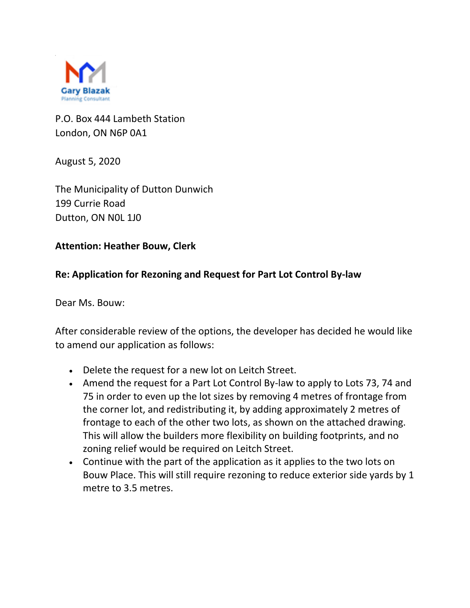

P.O. Box 444 Lambeth Station London, ON N6P 0A1

August 5, 2020

The Municipality of Dutton Dunwich 199 Currie Road Dutton, ON N0L 1J0

## **Attention: Heather Bouw, Clerk**

## **Re: Application for Rezoning and Request for Part Lot Control By-law**

Dear Ms. Bouw:

After considerable review of the options, the developer has decided he would like to amend our application as follows:

- Delete the request for a new lot on Leitch Street.
- Amend the request for a Part Lot Control By-law to apply to Lots 73, 74 and 75 in order to even up the lot sizes by removing 4 metres of frontage from the corner lot, and redistributing it, by adding approximately 2 metres of frontage to each of the other two lots, as shown on the attached drawing. This will allow the builders more flexibility on building footprints, and no zoning relief would be required on Leitch Street.
- Continue with the part of the application as it applies to the two lots on Bouw Place. This will still require rezoning to reduce exterior side yards by 1 metre to 3.5 metres.